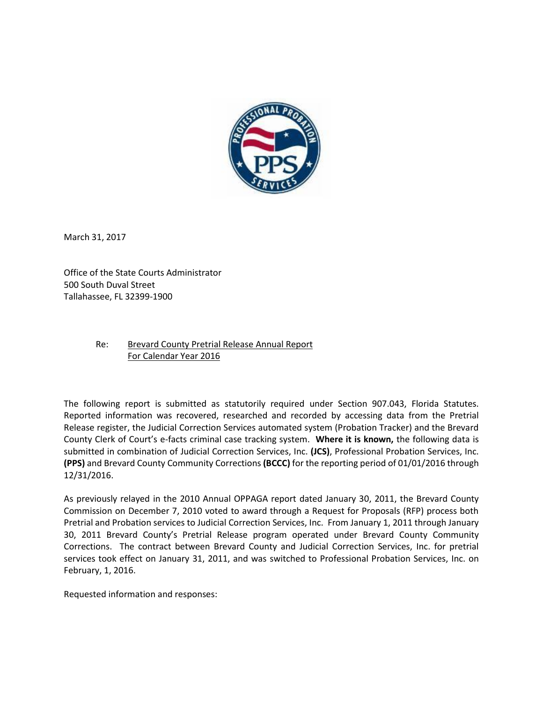

March 31, 2017

Office of the State Courts Administrator 500 South Duval Street Tallahassee, FL 32399-1900

## Re: Brevard County Pretrial Release Annual Report For Calendar Year 2016

The following report is submitted as statutorily required under Section 907.043, Florida Statutes. Reported information was recovered, researched and recorded by accessing data from the Pretrial Release register, the Judicial Correction Services automated system (Probation Tracker) and the Brevard County Clerk of Court's e-facts criminal case tracking system. **Where it is known,** the following data is submitted in combination of Judicial Correction Services, Inc. **(JCS)**, Professional Probation Services, Inc. **(PPS)** and Brevard County Community Corrections **(BCCC)** for the reporting period of 01/01/2016 through 12/31/2016.

As previously relayed in the 2010 Annual OPPAGA report dated January 30, 2011, the Brevard County Commission on December 7, 2010 voted to award through a Request for Proposals (RFP) process both Pretrial and Probation services to Judicial Correction Services, Inc. From January 1, 2011 through January 30, 2011 Brevard County's Pretrial Release program operated under Brevard County Community Corrections. The contract between Brevard County and Judicial Correction Services, Inc. for pretrial services took effect on January 31, 2011, and was switched to Professional Probation Services, Inc. on February, 1, 2016.

Requested information and responses: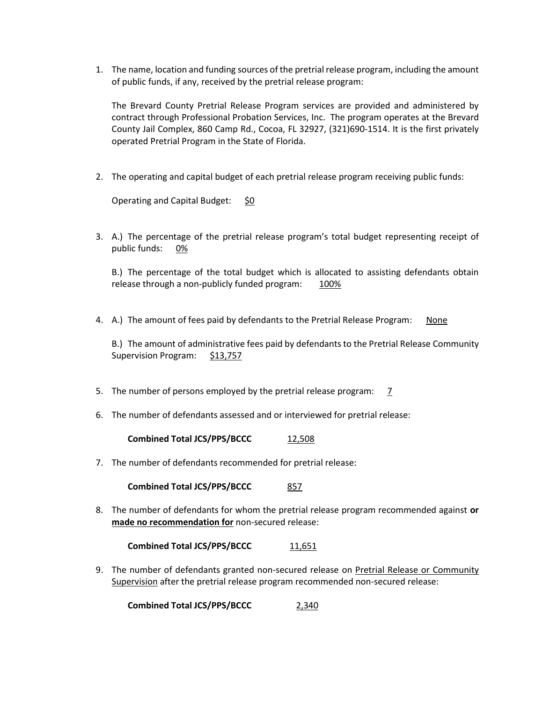1. The name, location and funding sources of the pretrial release program, including the amount of public funds, if any, received by the pretrial release program:

The Brevard County Pretrial Release Program services are provided and administered by contract through Professional Probation Services, Inc. The program operates at the Brevard County Jail Complex, 860 Camp Rd., Cocoa, FL 32927, (321)690-1514. It is the first privately operated Pretrial Program in the State of Florida.

2. The operating and capital budget of each pretrial release program receiving public funds:

Operating and Capital Budget: \$0

3. A.) The percentage of the pretrial release program's total budget representing receipt of public funds: 0%

B.) The percentage of the total budget which is allocated to assisting defendants obtain release through a non-publicly funded program: 100%

4. A.) The amount of fees paid by defendants to the Pretrial Release Program: None

B.) The amount of administrative fees paid by defendants to the Pretrial Release Community Supervision Program: \$13,757

- 5. The number of persons employed by the pretrial release program: 7
- 6. The number of defendants assessed and or interviewed for pretrial release:

**Combined Total JCS/PPS/BCCC** 12,508

7. The number of defendants recommended for pretrial release:

**Combined Total JCS/PPS/BCCC** 857

8. The number of defendants for whom the pretrial release program recommended against **or made no recommendation for** non-secured release:

**Combined Total JCS/PPS/BCCC** 11,651

9. The number of defendants granted non-secured release on Pretrial Release or Community Supervision after the pretrial release program recommended non-secured release:

**Combined Total JCS/PPS/BCCC** 2,340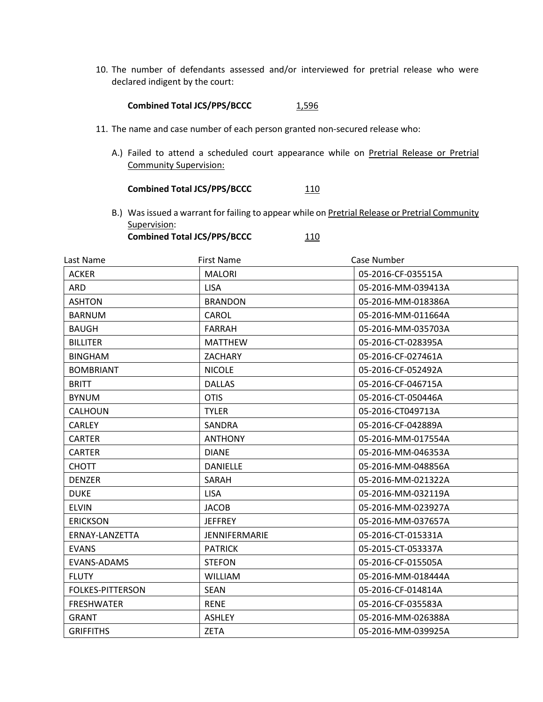10. The number of defendants assessed and/or interviewed for pretrial release who were declared indigent by the court:

## Combined Total JCS/PPS/BCCC 1,596

- 11. The name and case number of each person granted non-secured release who:
	- A.) Failed to attend a scheduled court appearance while on Pretrial Release or Pretrial Community Supervision:

## **Combined Total JCS/PPS/BCCC** 110

B.) Was issued a warrant for failing to appear while on Pretrial Release or Pretrial Community Supervision: **Combined Total JCS/PPS/BCCC** 110

| Last Name               | <b>First Name</b>    | Case Number        |
|-------------------------|----------------------|--------------------|
| <b>ACKER</b>            | <b>MALORI</b>        | 05-2016-CF-035515A |
| <b>ARD</b>              | <b>LISA</b>          | 05-2016-MM-039413A |
| <b>ASHTON</b>           | <b>BRANDON</b>       | 05-2016-MM-018386A |
| <b>BARNUM</b>           | CAROL                | 05-2016-MM-011664A |
| <b>BAUGH</b>            | <b>FARRAH</b>        | 05-2016-MM-035703A |
| <b>BILLITER</b>         | <b>MATTHEW</b>       | 05-2016-CT-028395A |
| <b>BINGHAM</b>          | <b>ZACHARY</b>       | 05-2016-CF-027461A |
| <b>BOMBRIANT</b>        | <b>NICOLE</b>        | 05-2016-CF-052492A |
| <b>BRITT</b>            | <b>DALLAS</b>        | 05-2016-CF-046715A |
| <b>BYNUM</b>            | <b>OTIS</b>          | 05-2016-CT-050446A |
| <b>CALHOUN</b>          | <b>TYLER</b>         | 05-2016-CT049713A  |
| <b>CARLEY</b>           | SANDRA               | 05-2016-CF-042889A |
| <b>CARTER</b>           | <b>ANTHONY</b>       | 05-2016-MM-017554A |
| <b>CARTER</b>           | <b>DIANE</b>         | 05-2016-MM-046353A |
| <b>CHOTT</b>            | <b>DANIELLE</b>      | 05-2016-MM-048856A |
| <b>DENZER</b>           | SARAH                | 05-2016-MM-021322A |
| <b>DUKE</b>             | <b>LISA</b>          | 05-2016-MM-032119A |
| <b>ELVIN</b>            | <b>JACOB</b>         | 05-2016-MM-023927A |
| <b>ERICKSON</b>         | <b>JEFFREY</b>       | 05-2016-MM-037657A |
| ERNAY-LANZETTA          | <b>JENNIFERMARIE</b> | 05-2016-CT-015331A |
| <b>EVANS</b>            | <b>PATRICK</b>       | 05-2015-CT-053337A |
| EVANS-ADAMS             | <b>STEFON</b>        | 05-2016-CF-015505A |
| <b>FLUTY</b>            | <b>WILLIAM</b>       | 05-2016-MM-018444A |
| <b>FOLKES-PITTERSON</b> | <b>SEAN</b>          | 05-2016-CF-014814A |
| <b>FRESHWATER</b>       | <b>RENE</b>          | 05-2016-CF-035583A |
| <b>GRANT</b>            | <b>ASHLEY</b>        | 05-2016-MM-026388A |
| <b>GRIFFITHS</b>        | <b>ZETA</b>          | 05-2016-MM-039925A |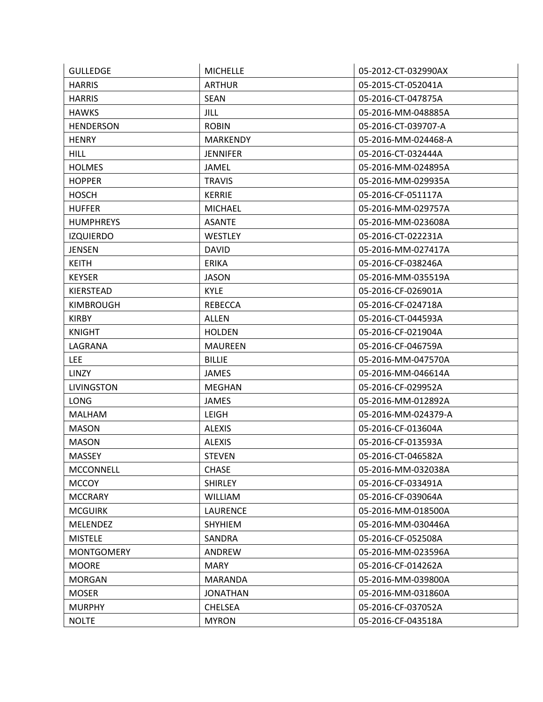| <b>GULLEDGE</b>   | <b>MICHELLE</b> | 05-2012-CT-032990AX |
|-------------------|-----------------|---------------------|
| <b>HARRIS</b>     | <b>ARTHUR</b>   | 05-2015-CT-052041A  |
| <b>HARRIS</b>     | <b>SEAN</b>     | 05-2016-CT-047875A  |
| <b>HAWKS</b>      | <b>JILL</b>     | 05-2016-MM-048885A  |
| <b>HENDERSON</b>  | <b>ROBIN</b>    | 05-2016-CT-039707-A |
| <b>HENRY</b>      | <b>MARKENDY</b> | 05-2016-MM-024468-A |
| <b>HILL</b>       | <b>JENNIFER</b> | 05-2016-CT-032444A  |
| <b>HOLMES</b>     | <b>JAMEL</b>    | 05-2016-MM-024895A  |
| <b>HOPPER</b>     | <b>TRAVIS</b>   | 05-2016-MM-029935A  |
| <b>HOSCH</b>      | <b>KERRIE</b>   | 05-2016-CF-051117A  |
| <b>HUFFER</b>     | <b>MICHAEL</b>  | 05-2016-MM-029757A  |
| <b>HUMPHREYS</b>  | <b>ASANTE</b>   | 05-2016-MM-023608A  |
| <b>IZQUIERDO</b>  | <b>WESTLEY</b>  | 05-2016-CT-022231A  |
| JENSEN            | <b>DAVID</b>    | 05-2016-MM-027417A  |
| <b>KEITH</b>      | <b>ERIKA</b>    | 05-2016-CF-038246A  |
| <b>KEYSER</b>     | <b>JASON</b>    | 05-2016-MM-035519A  |
| <b>KIERSTEAD</b>  | <b>KYLE</b>     | 05-2016-CF-026901A  |
| <b>KIMBROUGH</b>  | <b>REBECCA</b>  | 05-2016-CF-024718A  |
| <b>KIRBY</b>      | <b>ALLEN</b>    | 05-2016-CT-044593A  |
| <b>KNIGHT</b>     | <b>HOLDEN</b>   | 05-2016-CF-021904A  |
| LAGRANA           | <b>MAUREEN</b>  | 05-2016-CF-046759A  |
| <b>LEE</b>        | <b>BILLIE</b>   | 05-2016-MM-047570A  |
| <b>LINZY</b>      | <b>JAMES</b>    | 05-2016-MM-046614A  |
| <b>LIVINGSTON</b> | <b>MEGHAN</b>   | 05-2016-CF-029952A  |
| <b>LONG</b>       | <b>JAMES</b>    | 05-2016-MM-012892A  |
| <b>MALHAM</b>     | LEIGH           | 05-2016-MM-024379-A |
| <b>MASON</b>      | <b>ALEXIS</b>   | 05-2016-CF-013604A  |
| <b>MASON</b>      | <b>ALEXIS</b>   | 05-2016-CF-013593A  |
| <b>MASSEY</b>     | <b>STEVEN</b>   | 05-2016-CT-046582A  |
| <b>MCCONNELL</b>  | <b>CHASE</b>    | 05-2016-MM-032038A  |
| <b>MCCOY</b>      | <b>SHIRLEY</b>  | 05-2016-CF-033491A  |
| <b>MCCRARY</b>    | <b>WILLIAM</b>  | 05-2016-CF-039064A  |
| <b>MCGUIRK</b>    | LAURENCE        | 05-2016-MM-018500A  |
| <b>MELENDEZ</b>   | <b>SHYHIEM</b>  | 05-2016-MM-030446A  |
| <b>MISTELE</b>    | SANDRA          | 05-2016-CF-052508A  |
| <b>MONTGOMERY</b> | ANDREW          | 05-2016-MM-023596A  |
| <b>MOORE</b>      | <b>MARY</b>     | 05-2016-CF-014262A  |
| <b>MORGAN</b>     | MARANDA         | 05-2016-MM-039800A  |
| <b>MOSER</b>      | <b>JONATHAN</b> | 05-2016-MM-031860A  |
| <b>MURPHY</b>     | <b>CHELSEA</b>  | 05-2016-CF-037052A  |
| <b>NOLTE</b>      | <b>MYRON</b>    | 05-2016-CF-043518A  |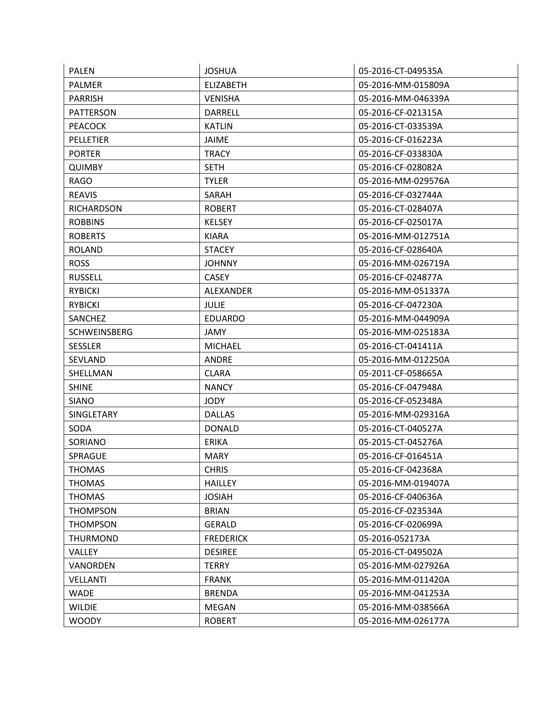| <b>PALEN</b>        | <b>JOSHUA</b>    | 05-2016-CT-049535A |
|---------------------|------------------|--------------------|
| <b>PALMER</b>       | <b>ELIZABETH</b> | 05-2016-MM-015809A |
| <b>PARRISH</b>      | <b>VENISHA</b>   | 05-2016-MM-046339A |
| <b>PATTERSON</b>    | <b>DARRELL</b>   | 05-2016-CF-021315A |
| <b>PEACOCK</b>      | <b>KATLIN</b>    | 05-2016-CT-033539A |
| <b>PELLETIER</b>    | <b>JAIME</b>     | 05-2016-CF-016223A |
| <b>PORTER</b>       | <b>TRACY</b>     | 05-2016-CF-033830A |
| <b>QUIMBY</b>       | <b>SETH</b>      | 05-2016-CF-028082A |
| <b>RAGO</b>         | <b>TYLER</b>     | 05-2016-MM-029576A |
| <b>REAVIS</b>       | SARAH            | 05-2016-CF-032744A |
| <b>RICHARDSON</b>   | <b>ROBERT</b>    | 05-2016-CT-028407A |
| <b>ROBBINS</b>      | <b>KELSEY</b>    | 05-2016-CF-025017A |
| <b>ROBERTS</b>      | <b>KIARA</b>     | 05-2016-MM-012751A |
| <b>ROLAND</b>       | <b>STACEY</b>    | 05-2016-CF-028640A |
| <b>ROSS</b>         | <b>JOHNNY</b>    | 05-2016-MM-026719A |
| <b>RUSSELL</b>      | <b>CASEY</b>     | 05-2016-CF-024877A |
| <b>RYBICKI</b>      | <b>ALEXANDER</b> | 05-2016-MM-051337A |
| <b>RYBICKI</b>      | <b>JULIE</b>     | 05-2016-CF-047230A |
| <b>SANCHEZ</b>      | <b>EDUARDO</b>   | 05-2016-MM-044909A |
| <b>SCHWEINSBERG</b> | JAMY             | 05-2016-MM-025183A |
| <b>SESSLER</b>      | <b>MICHAEL</b>   | 05-2016-CT-041411A |
| SEVLAND             | <b>ANDRE</b>     | 05-2016-MM-012250A |
| SHELLMAN            | <b>CLARA</b>     | 05-2011-CF-058665A |
| <b>SHINE</b>        | <b>NANCY</b>     | 05-2016-CF-047948A |
| <b>SIANO</b>        | <b>JODY</b>      | 05-2016-CF-052348A |
| SINGLETARY          | <b>DALLAS</b>    | 05-2016-MM-029316A |
| <b>SODA</b>         | <b>DONALD</b>    | 05-2016-CT-040527A |
| SORIANO             | <b>ERIKA</b>     | 05-2015-CT-045276A |
| <b>SPRAGUE</b>      | <b>MARY</b>      | 05-2016-CF-016451A |
| <b>THOMAS</b>       | <b>CHRIS</b>     | 05-2016-CF-042368A |
| <b>THOMAS</b>       | <b>HAILLEY</b>   | 05-2016-MM-019407A |
| <b>THOMAS</b>       | <b>JOSIAH</b>    | 05-2016-CF-040636A |
| <b>THOMPSON</b>     | <b>BRIAN</b>     | 05-2016-CF-023534A |
| <b>THOMPSON</b>     | <b>GERALD</b>    | 05-2016-CF-020699A |
| THURMOND            | <b>FREDERICK</b> | 05-2016-052173A    |
| VALLEY              | <b>DESIREE</b>   | 05-2016-CT-049502A |
| VANORDEN            | <b>TERRY</b>     | 05-2016-MM-027926A |
| <b>VELLANTI</b>     | <b>FRANK</b>     | 05-2016-MM-011420A |
| <b>WADE</b>         | <b>BRENDA</b>    | 05-2016-MM-041253A |
| <b>WILDIE</b>       | MEGAN            | 05-2016-MM-038566A |
| <b>WOODY</b>        | <b>ROBERT</b>    | 05-2016-MM-026177A |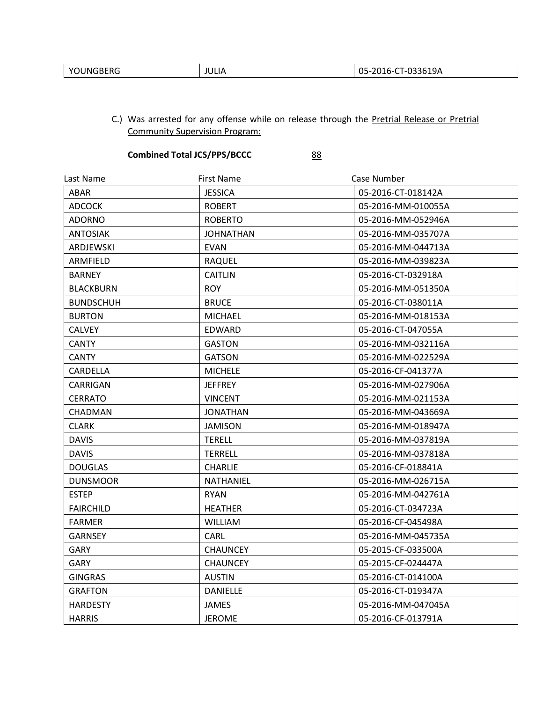C.) Was arrested for any offense while on release through the Pretrial Release or Pretrial Community Supervision Program:

## **Combined Total JCS/PPS/BCCC** 88

| Last Name        | <b>First Name</b> | Case Number        |
|------------------|-------------------|--------------------|
| ABAR             | <b>JESSICA</b>    | 05-2016-CT-018142A |
| <b>ADCOCK</b>    | <b>ROBERT</b>     | 05-2016-MM-010055A |
| <b>ADORNO</b>    | <b>ROBERTO</b>    | 05-2016-MM-052946A |
| <b>ANTOSIAK</b>  | <b>JOHNATHAN</b>  | 05-2016-MM-035707A |
| ARDJEWSKI        | <b>EVAN</b>       | 05-2016-MM-044713A |
| ARMFIELD         | <b>RAQUEL</b>     | 05-2016-MM-039823A |
| <b>BARNEY</b>    | <b>CAITLIN</b>    | 05-2016-CT-032918A |
| <b>BLACKBURN</b> | <b>ROY</b>        | 05-2016-MM-051350A |
| <b>BUNDSCHUH</b> | <b>BRUCE</b>      | 05-2016-CT-038011A |
| <b>BURTON</b>    | <b>MICHAEL</b>    | 05-2016-MM-018153A |
| <b>CALVEY</b>    | EDWARD            | 05-2016-CT-047055A |
| <b>CANTY</b>     | <b>GASTON</b>     | 05-2016-MM-032116A |
| <b>CANTY</b>     | <b>GATSON</b>     | 05-2016-MM-022529A |
| CARDELLA         | <b>MICHELE</b>    | 05-2016-CF-041377A |
| CARRIGAN         | <b>JEFFREY</b>    | 05-2016-MM-027906A |
| <b>CERRATO</b>   | <b>VINCENT</b>    | 05-2016-MM-021153A |
| <b>CHADMAN</b>   | <b>JONATHAN</b>   | 05-2016-MM-043669A |
| <b>CLARK</b>     | <b>JAMISON</b>    | 05-2016-MM-018947A |
| <b>DAVIS</b>     | <b>TERELL</b>     | 05-2016-MM-037819A |
| <b>DAVIS</b>     | TERRELL           | 05-2016-MM-037818A |
| <b>DOUGLAS</b>   | <b>CHARLIE</b>    | 05-2016-CF-018841A |
| <b>DUNSMOOR</b>  | <b>NATHANIEL</b>  | 05-2016-MM-026715A |
| <b>ESTEP</b>     | <b>RYAN</b>       | 05-2016-MM-042761A |
| <b>FAIRCHILD</b> | <b>HEATHER</b>    | 05-2016-CT-034723A |
| <b>FARMER</b>    | <b>WILLIAM</b>    | 05-2016-CF-045498A |
| <b>GARNSEY</b>   | CARL              | 05-2016-MM-045735A |
| <b>GARY</b>      | <b>CHAUNCEY</b>   | 05-2015-CF-033500A |
| <b>GARY</b>      | <b>CHAUNCEY</b>   | 05-2015-CF-024447A |
| <b>GINGRAS</b>   | <b>AUSTIN</b>     | 05-2016-CT-014100A |
| <b>GRAFTON</b>   | <b>DANIELLE</b>   | 05-2016-CT-019347A |
| <b>HARDESTY</b>  | JAMES             | 05-2016-MM-047045A |
| <b>HARRIS</b>    | <b>JEROME</b>     | 05-2016-CF-013791A |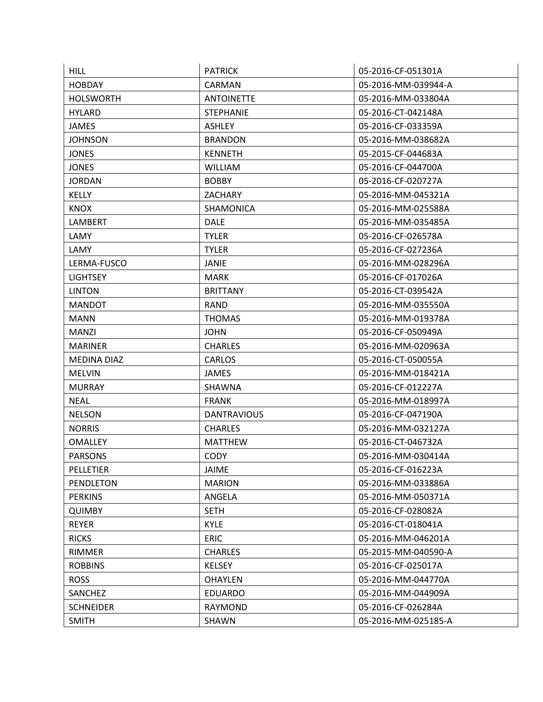| <b>HILL</b>        | <b>PATRICK</b>     | 05-2016-CF-051301A  |
|--------------------|--------------------|---------------------|
| <b>HOBDAY</b>      | CARMAN             | 05-2016-MM-039944-A |
| <b>HOLSWORTH</b>   | <b>ANTOINETTE</b>  | 05-2016-MM-033804A  |
| <b>HYLARD</b>      | <b>STEPHANIE</b>   | 05-2016-CT-042148A  |
| <b>JAMES</b>       | <b>ASHLEY</b>      | 05-2016-CF-033359A  |
| <b>JOHNSON</b>     | <b>BRANDON</b>     | 05-2016-MM-038682A  |
| <b>JONES</b>       | <b>KENNETH</b>     | 05-2015-CF-044683A  |
| <b>JONES</b>       | <b>WILLIAM</b>     | 05-2016-CF-044700A  |
| <b>JORDAN</b>      | <b>BOBBY</b>       | 05-2016-CF-020727A  |
| <b>KELLY</b>       | <b>ZACHARY</b>     | 05-2016-MM-045321A  |
| <b>KNOX</b>        | <b>SHAMONICA</b>   | 05-2016-MM-025588A  |
| LAMBERT            | <b>DALE</b>        | 05-2016-MM-035485A  |
| LAMY               | <b>TYLER</b>       | 05-2016-CF-026578A  |
| LAMY               | <b>TYLER</b>       | 05-2016-CF-027236A  |
| LERMA-FUSCO        | <b>JANIE</b>       | 05-2016-MM-028296A  |
| <b>LIGHTSEY</b>    | <b>MARK</b>        | 05-2016-CF-017026A  |
| <b>LINTON</b>      | <b>BRITTANY</b>    | 05-2016-CT-039542A  |
| <b>MANDOT</b>      | <b>RAND</b>        | 05-2016-MM-035550A  |
| <b>MANN</b>        | <b>THOMAS</b>      | 05-2016-MM-019378A  |
| <b>MANZI</b>       | <b>JOHN</b>        | 05-2016-CF-050949A  |
| <b>MARINER</b>     | <b>CHARLES</b>     | 05-2016-MM-020963A  |
| <b>MEDINA DIAZ</b> | <b>CARLOS</b>      | 05-2016-CT-050055A  |
| <b>MELVIN</b>      | <b>JAMES</b>       | 05-2016-MM-018421A  |
| <b>MURRAY</b>      | SHAWNA             | 05-2016-CF-012227A  |
| <b>NEAL</b>        | <b>FRANK</b>       | 05-2016-MM-018997A  |
| <b>NELSON</b>      | <b>DANTRAVIOUS</b> | 05-2016-CF-047190A  |
| <b>NORRIS</b>      | <b>CHARLES</b>     | 05-2016-MM-032127A  |
| <b>OMALLEY</b>     | <b>MATTHEW</b>     | 05-2016-CT-046732A  |
| <b>PARSONS</b>     | <b>CODY</b>        | 05-2016-MM-030414A  |
| <b>PELLETIER</b>   | <b>JAIME</b>       | 05-2016-CF-016223A  |
| PENDLETON          | <b>MARION</b>      | 05-2016-MM-033886A  |
| <b>PERKINS</b>     | ANGELA             | 05-2016-MM-050371A  |
| <b>QUIMBY</b>      | <b>SETH</b>        | 05-2016-CF-028082A  |
| <b>REYER</b>       | <b>KYLE</b>        | 05-2016-CT-018041A  |
| <b>RICKS</b>       | <b>ERIC</b>        | 05-2016-MM-046201A  |
| <b>RIMMER</b>      | <b>CHARLES</b>     | 05-2015-MM-040590-A |
| <b>ROBBINS</b>     | <b>KELSEY</b>      | 05-2016-CF-025017A  |
| <b>ROSS</b>        | <b>OHAYLEN</b>     | 05-2016-MM-044770A  |
| SANCHEZ            | <b>EDUARDO</b>     | 05-2016-MM-044909A  |
| <b>SCHNEIDER</b>   | RAYMOND            | 05-2016-CF-026284A  |
| <b>SMITH</b>       | SHAWN              | 05-2016-MM-025185-A |